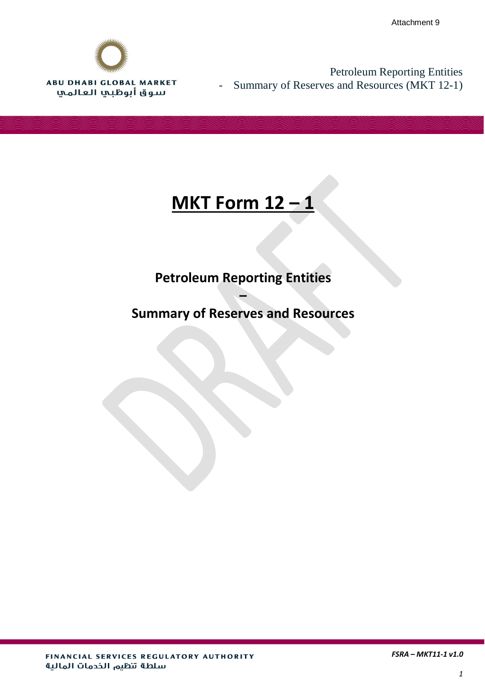

Petroleum Reporting Entities - Summary of Reserves and Resources (MKT 12-1)

# **MKT Form 12 – 1**

# **Petroleum Reporting Entities**

# **Summary of Reserves and Resources**

**–**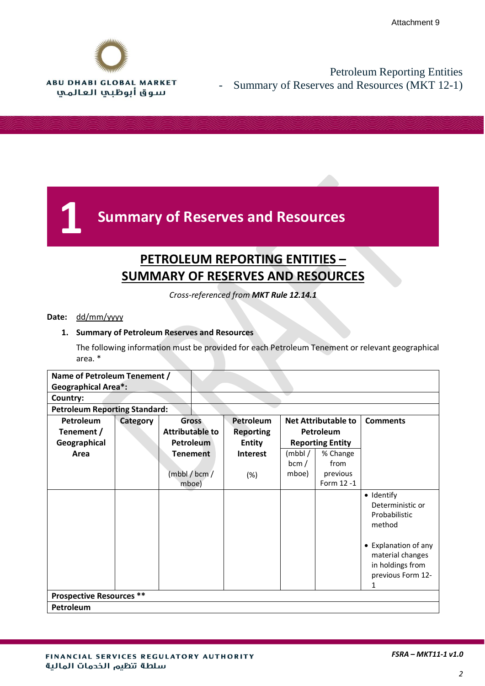

## Petroleum Reporting Entities Summary of Reserves and Resources (MKT 12-1)



## **PETROLEUM REPORTING ENTITIES – SUMMARY OF RESERVES AND RESOURCES**

*Cross-referenced from MKT Rule 12.14.1*

#### **Date:** dd/mm/yyyy

#### **1. Summary of Petroleum Reserves and Resources**

The following information must be provided for each Petroleum Tenement or relevant geographical area. \*

| Name of Petroleum Tenement /         |          |                        |                  |                         |                            |                      |
|--------------------------------------|----------|------------------------|------------------|-------------------------|----------------------------|----------------------|
| <b>Geographical Area*:</b>           |          |                        |                  |                         |                            |                      |
| Country:                             |          |                        |                  |                         |                            |                      |
| <b>Petroleum Reporting Standard:</b> |          |                        |                  |                         |                            |                      |
| Petroleum                            | Category | <b>Gross</b>           | Petroleum        |                         | <b>Net Attributable to</b> | <b>Comments</b>      |
| Tenement /                           |          | <b>Attributable to</b> | <b>Reporting</b> | Petroleum               |                            |                      |
| Geographical                         |          | <b>Petroleum</b>       | <b>Entity</b>    | <b>Reporting Entity</b> |                            |                      |
| Area                                 |          | <b>Tenement</b>        | <b>Interest</b>  | (mbb/                   | % Change                   |                      |
|                                      |          |                        |                  | bcm/                    | from                       |                      |
|                                      |          | (mbb/6cm/              | $(\%)$           | mboe)                   | previous                   |                      |
|                                      |          | mboe)                  |                  |                         | Form 12 -1                 |                      |
|                                      |          |                        |                  |                         |                            | · Identify           |
|                                      |          |                        |                  |                         |                            | Deterministic or     |
|                                      |          |                        |                  |                         |                            | Probabilistic        |
|                                      |          |                        |                  |                         |                            | method               |
|                                      |          |                        |                  |                         |                            | • Explanation of any |
|                                      |          |                        |                  |                         |                            | material changes     |
|                                      |          |                        |                  |                         |                            | in holdings from     |
|                                      |          |                        |                  |                         |                            | previous Form 12-    |
|                                      |          |                        |                  |                         |                            | 1                    |
| <b>Prospective Resources **</b>      |          |                        |                  |                         |                            |                      |
| Petroleum                            |          |                        |                  |                         |                            |                      |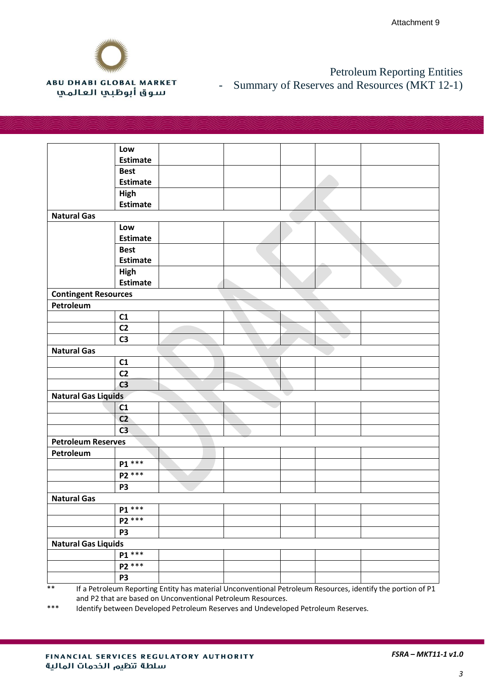

#### **ABU DHABI GLOBAL MARKET** سوق أبوظبي العالمي

#### Petroleum Reporting Entities - Summary of Reserves and Resources (MKT 12-1)

|                             | Low             |  |  |  |  |  |
|-----------------------------|-----------------|--|--|--|--|--|
|                             | <b>Estimate</b> |  |  |  |  |  |
|                             | <b>Best</b>     |  |  |  |  |  |
|                             | <b>Estimate</b> |  |  |  |  |  |
|                             | High            |  |  |  |  |  |
|                             | <b>Estimate</b> |  |  |  |  |  |
| <b>Natural Gas</b>          |                 |  |  |  |  |  |
|                             | Low             |  |  |  |  |  |
|                             | <b>Estimate</b> |  |  |  |  |  |
|                             | <b>Best</b>     |  |  |  |  |  |
|                             | <b>Estimate</b> |  |  |  |  |  |
|                             | High            |  |  |  |  |  |
|                             | <b>Estimate</b> |  |  |  |  |  |
| <b>Contingent Resources</b> |                 |  |  |  |  |  |
| Petroleum                   |                 |  |  |  |  |  |
|                             | C1              |  |  |  |  |  |
|                             | C <sub>2</sub>  |  |  |  |  |  |
|                             | C <sub>3</sub>  |  |  |  |  |  |
| <b>Natural Gas</b>          |                 |  |  |  |  |  |
|                             | C1              |  |  |  |  |  |
|                             | C <sub>2</sub>  |  |  |  |  |  |
|                             | C <sub>3</sub>  |  |  |  |  |  |
| <b>Natural Gas Liquids</b>  |                 |  |  |  |  |  |
|                             | C1              |  |  |  |  |  |
|                             | C <sub>2</sub>  |  |  |  |  |  |
|                             | C <sub>3</sub>  |  |  |  |  |  |
| <b>Petroleum Reserves</b>   |                 |  |  |  |  |  |
| Petroleum                   |                 |  |  |  |  |  |
|                             | P1 ***          |  |  |  |  |  |
|                             | P2 ***          |  |  |  |  |  |
|                             | <b>P3</b>       |  |  |  |  |  |
| <b>Natural Gas</b>          |                 |  |  |  |  |  |
|                             | $P1***$         |  |  |  |  |  |
|                             | $P2***$         |  |  |  |  |  |
|                             | P3              |  |  |  |  |  |
| <b>Natural Gas Liquids</b>  |                 |  |  |  |  |  |
|                             | $P1***$         |  |  |  |  |  |
|                             | P2 ***          |  |  |  |  |  |
|                             | P3              |  |  |  |  |  |

\*\* If a Petroleum Reporting Entity has material Unconventional Petroleum Resources, identify the portion of P1 and P2 that are based on Unconventional Petroleum Resources.

\*\*\* Identify between Developed Petroleum Reserves and Undeveloped Petroleum Reserves.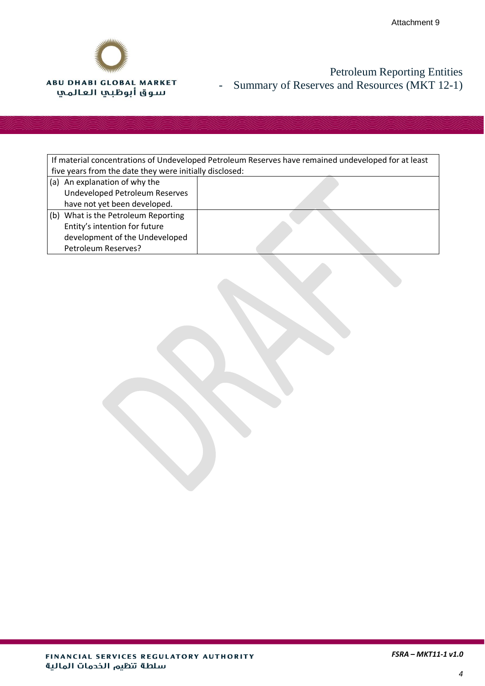

## Petroleum Reporting Entities - Summary of Reserves and Resources (MKT 12-1)

| If material concentrations of Undeveloped Petroleum Reserves have remained undeveloped for at least |  |  |
|-----------------------------------------------------------------------------------------------------|--|--|
| five years from the date they were initially disclosed:                                             |  |  |
| (a) An explanation of why the                                                                       |  |  |
| Undeveloped Petroleum Reserves                                                                      |  |  |
| have not yet been developed.                                                                        |  |  |
| What is the Petroleum Reporting<br>(b)                                                              |  |  |
| Entity's intention for future                                                                       |  |  |
| development of the Undeveloped                                                                      |  |  |
| Petroleum Reserves?                                                                                 |  |  |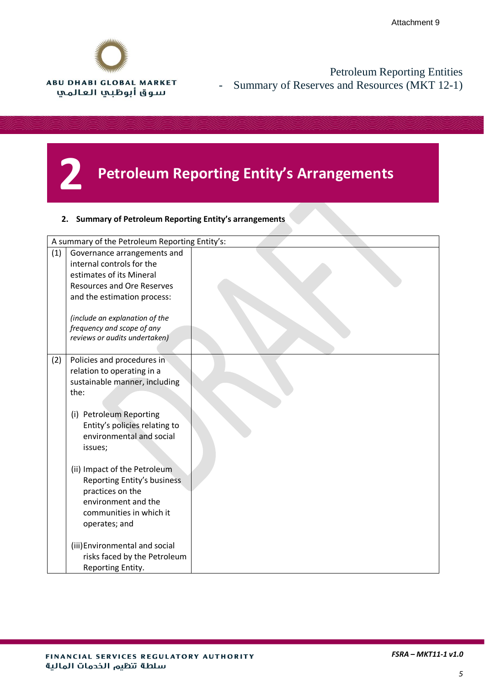

Petroleum Reporting Entities - Summary of Reserves and Resources (MKT 12-1)

# **2 Petroleum Reporting Entity's Arrangements**

#### **2. Summary of Petroleum Reporting Entity's arrangements**

|     | A summary of the Petroleum Reporting Entity's:           |  |
|-----|----------------------------------------------------------|--|
| (1) | Governance arrangements and<br>internal controls for the |  |
|     | estimates of its Mineral                                 |  |
|     | <b>Resources and Ore Reserves</b>                        |  |
|     | and the estimation process:                              |  |
|     |                                                          |  |
|     | (include an explanation of the                           |  |
|     | frequency and scope of any                               |  |
|     | reviews or audits undertaken)                            |  |
| (2) | Policies and procedures in                               |  |
|     | relation to operating in a                               |  |
|     | sustainable manner, including                            |  |
|     | the:                                                     |  |
|     |                                                          |  |
|     | (i) Petroleum Reporting                                  |  |
|     | Entity's policies relating to                            |  |
|     | environmental and social                                 |  |
|     | issues;                                                  |  |
|     | (ii) Impact of the Petroleum                             |  |
|     | Reporting Entity's business                              |  |
|     | practices on the                                         |  |
|     | environment and the                                      |  |
|     | communities in which it                                  |  |
|     | operates; and                                            |  |
|     | (iii) Environmental and social                           |  |
|     | risks faced by the Petroleum                             |  |
|     | Reporting Entity.                                        |  |